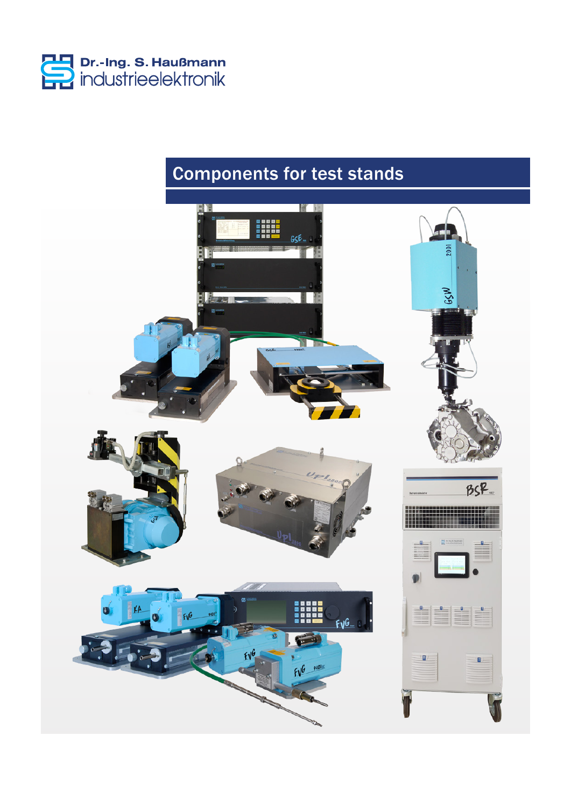

# Components for test stands

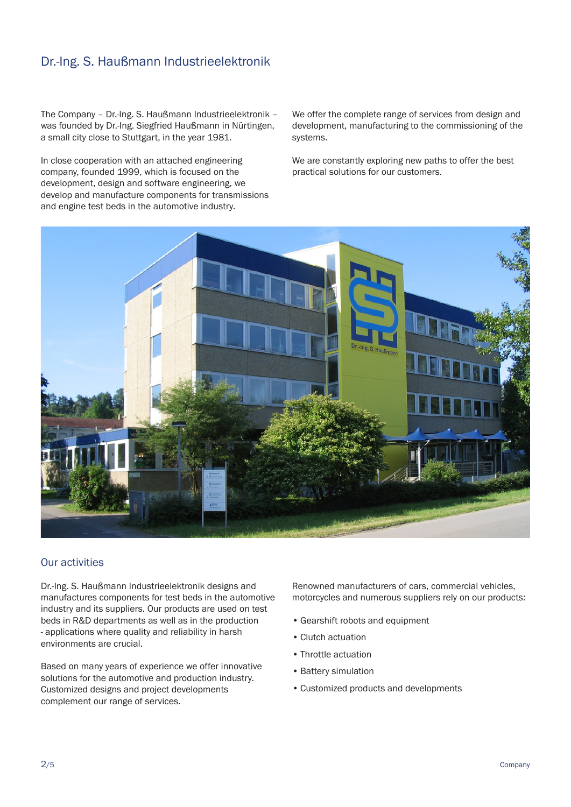# Dr.-Ing. S. Haußmann Industrieelektronik

The Company – Dr.-Ing. S. Haußmann Industrieelektronik – was founded by Dr.-Ing. Siegfried Haußmann in Nürtingen, a small city close to Stuttgart, in the year 1981.

In close cooperation with an attached engineering company, founded 1999, which is focused on the development, design and software engineering, we develop and manufacture components for transmissions and engine test beds in the automotive industry.

We offer the complete range of services from design and development, manufacturing to the commissioning of the systems.

We are constantly exploring new paths to offer the best practical solutions for our customers.



## Our activities

Dr.-Ing. S. Haußmann Industrieelektronik designs and manufactures components for test beds in the automotive industry and its suppliers. Our products are used on test beds in R&D departments as well as in the production - applications where quality and reliability in harsh environments are crucial.

Based on many years of experience we offer innovative solutions for the automotive and production industry. Customized designs and project developments complement our range of services.

Renowned manufacturers of cars, commercial vehicles, motorcycles and numerous suppliers rely on our products:

- Gearshift robots and equipment
- Clutch actuation
- Throttle actuation
- Battery simulation
- Customized products and developments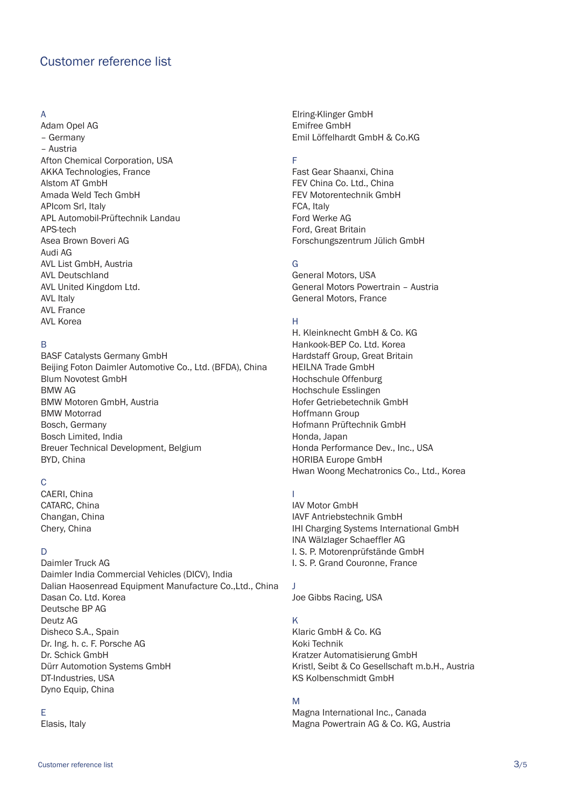# Customer reference list

#### A

Adam Opel AG – Germany – Austria Afton Chemical Corporation, USA AKKA Technologies, France Alstom AT GmbH Amada Weld Tech GmbH APIcom Srl, Italy APL Automobil-Prüftechnik Landau APS-tech Asea Brown Boveri AG Audi AG AVL List GmbH, Austria AVL Deutschland AVL United Kingdom Ltd. AVL Italy AVL France AVL Korea

#### B

BASF Catalysts Germany GmbH Beijing Foton Daimler Automotive Co., Ltd. (BFDA), China Blum Novotest GmbH BMW AG BMW Motoren GmbH, Austria BMW Motorrad Bosch, Germany Bosch Limited, India Breuer Technical Development, Belgium BYD, China

## C

CAERI, China CATARC, China Changan, China Chery, China

#### D

Daimler Truck AG Daimler India Commercial Vehicles (DICV), India Dalian Haosenread Equipment Manufacture Co.,Ltd., China Dasan Co. Ltd. Korea Deutsche BP AG Deutz AG Disheco S.A., Spain Dr. Ing. h. c. F. Porsche AG Dr. Schick GmbH Dürr Automotion Systems GmbH DT-Industries, USA Dyno Equip, China

#### E

Elasis, Italy

Elring-Klinger GmbH Emifree GmbH Emil Löffelhardt GmbH & Co.KG

# F

Fast Gear Shaanxi, China FEV China Co. Ltd., China FEV Motorentechnik GmbH FCA, Italy Ford Werke AG Ford, Great Britain Forschungszentrum Jülich GmbH

## G

General Motors, USA General Motors Powertrain – Austria General Motors, France

#### H

H. Kleinknecht GmbH & Co. KG Hankook-BEP Co. Ltd. Korea Hardstaff Group, Great Britain HEILNA Trade GmbH Hochschule Offenburg Hochschule Esslingen Hofer Getriebetechnik GmbH Hoffmann Group Hofmann Prüftechnik GmbH Honda, Japan Honda Performance Dev., Inc., USA HORIBA Europe GmbH Hwan Woong Mechatronics Co., Ltd., Korea

#### I

IAV Motor GmbH IAVF Antriebstechnik GmbH IHI Charging Systems International GmbH INA Wälzlager Schaeffler AG I. S. P. Motorenprüfstände GmbH I. S. P. Grand Couronne, France

#### J

Joe Gibbs Racing, USA

#### K

Klaric GmbH & Co. KG Koki Technik Kratzer Automatisierung GmbH Kristl, Seibt & Co Gesellschaft m.b.H., Austria KS Kolbenschmidt GmbH

#### M

Magna International Inc., Canada Magna Powertrain AG & Co. KG, Austria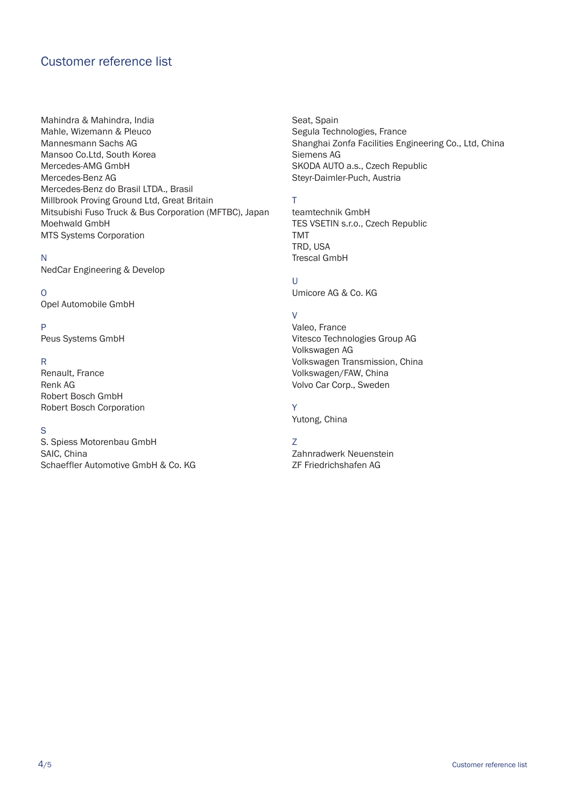# Customer reference list

Mahindra & Mahindra, India Mahle, Wizemann & Pleuco Mannesmann Sachs AG Mansoo Co.Ltd, South Korea Mercedes-AMG GmbH Mercedes-Benz AG Mercedes-Benz do Brasil LTDA., Brasil Millbrook Proving Ground Ltd, Great Britain Mitsubishi Fuso Truck & Bus Corporation (MFTBC), Japan Moehwald GmbH MTS Systems Corporation

#### N

NedCar Engineering & Develop

#### O

Opel Automobile GmbH

#### P

Peus Systems GmbH

#### R

Renault, France Renk AG Robert Bosch GmbH Robert Bosch Corporation

#### S

S. Spiess Motorenbau GmbH SAIC, China Schaeffler Automotive GmbH & Co. KG Seat, Spain Segula Technologies, France Shanghai Zonfa Facilities Engineering Co., Ltd, China Siemens AG SKODA AUTO a.s., Czech Republic Steyr-Daimler-Puch, Austria

#### T

teamtechnik GmbH TES VSETIN s.r.o., Czech Republic TMT TRD, USA Trescal GmbH

## U

Umicore AG & Co. KG

#### $\overline{V}$

Valeo, France Vitesco Technologies Group AG Volkswagen AG Volkswagen Transmission, China Volkswagen/FAW, China Volvo Car Corp., Sweden

# Y

Yutong, China

### Z

Zahnradwerk Neuenstein ZF Friedrichshafen AG